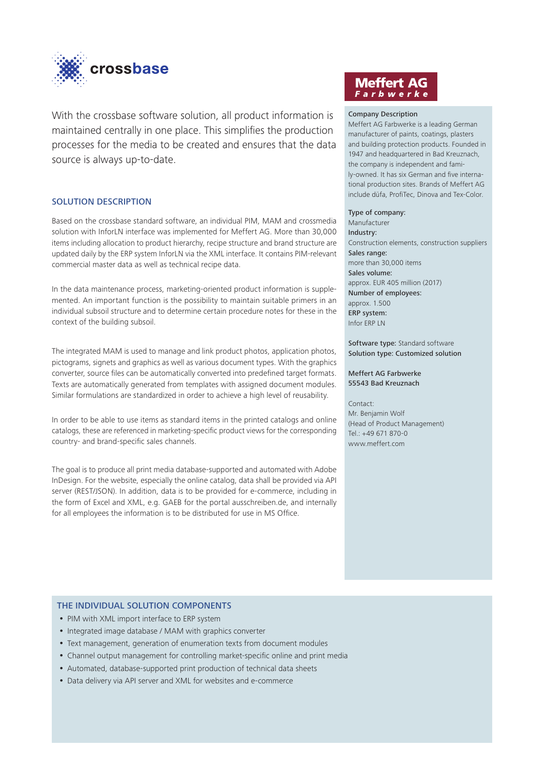

With the crossbase software solution, all product information is maintained centrally in one place. This simplifies the production processes for the media to be created and ensures that the data source is always up-to-date.

# SOLUTION DESCRIPTION

Based on the crossbase standard software, an individual PIM, MAM and crossmedia solution with InforLN interface was implemented for Meffert AG. More than 30,000 items including allocation to product hierarchy, recipe structure and brand structure are updated daily by the ERP system InforLN via the XML interface. It contains PIM-relevant commercial master data as well as technical recipe data.

In the data maintenance process, marketing-oriented product information is supplemented. An important function is the possibility to maintain suitable primers in an individual subsoil structure and to determine certain procedure notes for these in the context of the building subsoil.

The integrated MAM is used to manage and link product photos, application photos, pictograms, signets and graphics as well as various document types. With the graphics converter, source files can be automatically converted into predefined target formats. Texts are automatically generated from templates with assigned document modules. Similar formulations are standardized in order to achieve a high level of reusability.

In order to be able to use items as standard items in the printed catalogs and online catalogs, these are referenced in marketing-specific product views for the corresponding country- and brand-specific sales channels.

The goal is to produce all print media database-supported and automated with Adobe InDesign. For the website, especially the online catalog, data shall be provided via API server (REST/JSON). In addition, data is to be provided for e-commerce, including in the form of Excel and XML, e.g. GAEB for the portal ausschreiben.de, and internally for all employees the information is to be distributed for use in MS Office.

# **Meffert AG** Farbwerke

### Company Description

Meffert AG Farbwerke is a leading German manufacturer of paints, coatings, plasters and building protection products. Founded in 1947 and headquartered in Bad Kreuznach, the company is independent and family-owned. It has six German and five international production sites. Brands of Meffert AG include düfa, ProfiTec, Dinova and Tex-Color.

#### Type of company:

Manufacturer Industry: Construction elements, construction suppliers Sales range: more than 30,000 items Sales volume: approx. EUR 405 million (2017) Number of employees: approx. 1.500 ERP system: Infor ERP LN

Software type: Standard software Solution type: Customized solution

#### Meffert AG Farbwerke 55543 Bad Kreuznach

Contact:

Mr. Benjamin Wolf (Head of Product Management) Tel.: +49 671 870-0 www.meffert.com

## THE INDIVIDUAL SOLUTION COMPONENTS

- PIM with XML import interface to ERP system
- Integrated image database / MAM with graphics converter
- Text management, generation of enumeration texts from document modules
- Channel output management for controlling market-specific online and print media
- Automated, database-supported print production of technical data sheets
- Data delivery via API server and XML for websites and e-commerce